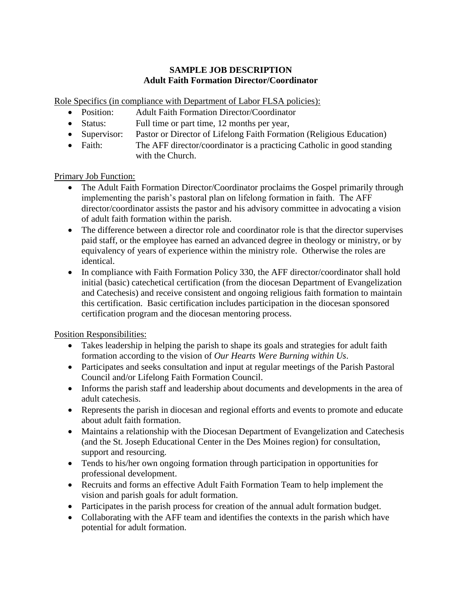# **SAMPLE JOB DESCRIPTION Adult Faith Formation Director/Coordinator**

Role Specifics (in compliance with Department of Labor FLSA policies):

- Position: Adult Faith Formation Director/Coordinator
- Status: Full time or part time, 12 months per year,
- Supervisor: Pastor or Director of Lifelong Faith Formation (Religious Education)
- Faith: The AFF director/coordinator is a practicing Catholic in good standing with the Church.

Primary Job Function:

- The Adult Faith Formation Director/Coordinator proclaims the Gospel primarily through implementing the parish's pastoral plan on lifelong formation in faith. The AFF director/coordinator assists the pastor and his advisory committee in advocating a vision of adult faith formation within the parish.
- The difference between a director role and coordinator role is that the director supervises paid staff, or the employee has earned an advanced degree in theology or ministry, or by equivalency of years of experience within the ministry role. Otherwise the roles are identical.
- In compliance with Faith Formation Policy 330, the AFF director/coordinator shall hold initial (basic) catechetical certification (from the diocesan Department of Evangelization and Catechesis) and receive consistent and ongoing religious faith formation to maintain this certification. Basic certification includes participation in the diocesan sponsored certification program and the diocesan mentoring process.

Position Responsibilities:

- Takes leadership in helping the parish to shape its goals and strategies for adult faith formation according to the vision of *Our Hearts Were Burning within Us*.
- Participates and seeks consultation and input at regular meetings of the Parish Pastoral Council and/or Lifelong Faith Formation Council.
- Informs the parish staff and leadership about documents and developments in the area of adult catechesis.
- Represents the parish in diocesan and regional efforts and events to promote and educate about adult faith formation.
- Maintains a relationship with the Diocesan Department of Evangelization and Catechesis (and the St. Joseph Educational Center in the Des Moines region) for consultation, support and resourcing.
- Tends to his/her own ongoing formation through participation in opportunities for professional development.
- Recruits and forms an effective Adult Faith Formation Team to help implement the vision and parish goals for adult formation.
- Participates in the parish process for creation of the annual adult formation budget.
- Collaborating with the AFF team and identifies the contexts in the parish which have potential for adult formation.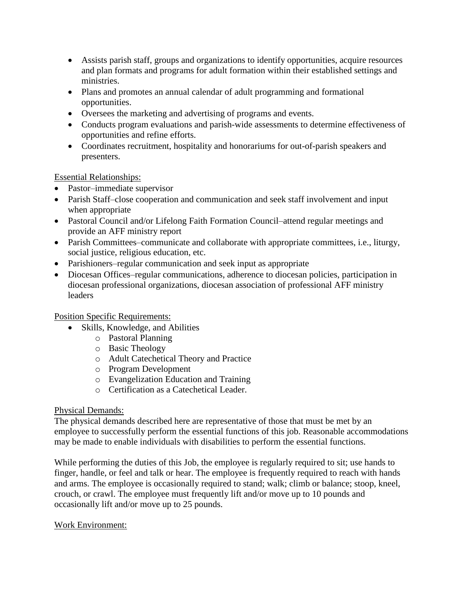- Assists parish staff, groups and organizations to identify opportunities, acquire resources and plan formats and programs for adult formation within their established settings and ministries.
- Plans and promotes an annual calendar of adult programming and formational opportunities.
- Oversees the marketing and advertising of programs and events.
- Conducts program evaluations and parish-wide assessments to determine effectiveness of opportunities and refine efforts.
- Coordinates recruitment, hospitality and honorariums for out-of-parish speakers and presenters.

## Essential Relationships:

- Pastor–immediate supervisor
- Parish Staff–close cooperation and communication and seek staff involvement and input when appropriate
- Pastoral Council and/or Lifelong Faith Formation Council–attend regular meetings and provide an AFF ministry report
- Parish Committees–communicate and collaborate with appropriate committees, i.e., liturgy, social justice, religious education, etc.
- Parishioners–regular communication and seek input as appropriate
- Diocesan Offices–regular communications, adherence to diocesan policies, participation in diocesan professional organizations, diocesan association of professional AFF ministry leaders

## Position Specific Requirements:

- Skills, Knowledge, and Abilities
	- o Pastoral Planning
	- o Basic Theology
	- o Adult Catechetical Theory and Practice
	- o Program Development
	- o Evangelization Education and Training
	- o Certification as a Catechetical Leader.

## Physical Demands:

The physical demands described here are representative of those that must be met by an employee to successfully perform the essential functions of this job. Reasonable accommodations may be made to enable individuals with disabilities to perform the essential functions.

While performing the duties of this Job, the employee is regularly required to sit; use hands to finger, handle, or feel and talk or hear. The employee is frequently required to reach with hands and arms. The employee is occasionally required to stand; walk; climb or balance; stoop, kneel, crouch, or crawl. The employee must frequently lift and/or move up to 10 pounds and occasionally lift and/or move up to 25 pounds.

## Work Environment: